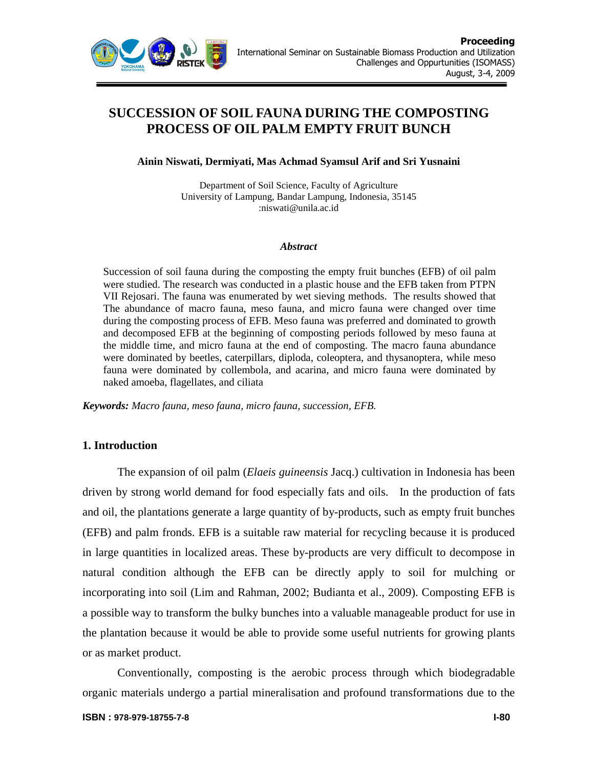

# **SUCCESSION OF SOIL FAUNA DURING THE COMPOSTING PROCESS OF OIL PALM EMPTY FRUIT BUNCH**

**Ainin Niswati, Dermiyati, Mas Achmad Syamsul Arif and Sri Yusnaini** 

Department of Soil Science, Faculty of Agriculture University of Lampung, Bandar Lampung, Indonesia, 35145 :niswati@unila.ac.id

#### *Abstract*

Succession of soil fauna during the composting the empty fruit bunches (EFB) of oil palm were studied. The research was conducted in a plastic house and the EFB taken from PTPN VII Rejosari. The fauna was enumerated by wet sieving methods. The results showed that The abundance of macro fauna, meso fauna, and micro fauna were changed over time during the composting process of EFB. Meso fauna was preferred and dominated to growth and decomposed EFB at the beginning of composting periods followed by meso fauna at the middle time, and micro fauna at the end of composting. The macro fauna abundance were dominated by beetles, caterpillars, diploda, coleoptera, and thysanoptera, while meso fauna were dominated by collembola, and acarina, and micro fauna were dominated by naked amoeba, flagellates, and ciliata

*Keywords: Macro fauna, meso fauna, micro fauna, succession, EFB.* 

# **1. Introduction**

The expansion of oil palm (*Elaeis guineensis* Jacq.) cultivation in Indonesia has been driven by strong world demand for food especially fats and oils. In the production of fats and oil, the plantations generate a large quantity of by-products, such as empty fruit bunches (EFB) and palm fronds. EFB is a suitable raw material for recycling because it is produced in large quantities in localized areas. These by-products are very difficult to decompose in natural condition although the EFB can be directly apply to soil for mulching or incorporating into soil (Lim and Rahman, 2002; Budianta et al., 2009). Composting EFB is a possible way to transform the bulky bunches into a valuable manageable product for use in the plantation because it would be able to provide some useful nutrients for growing plants or as market product.

Conventionally, composting is the aerobic process through which biodegradable organic materials undergo a partial mineralisation and profound transformations due to the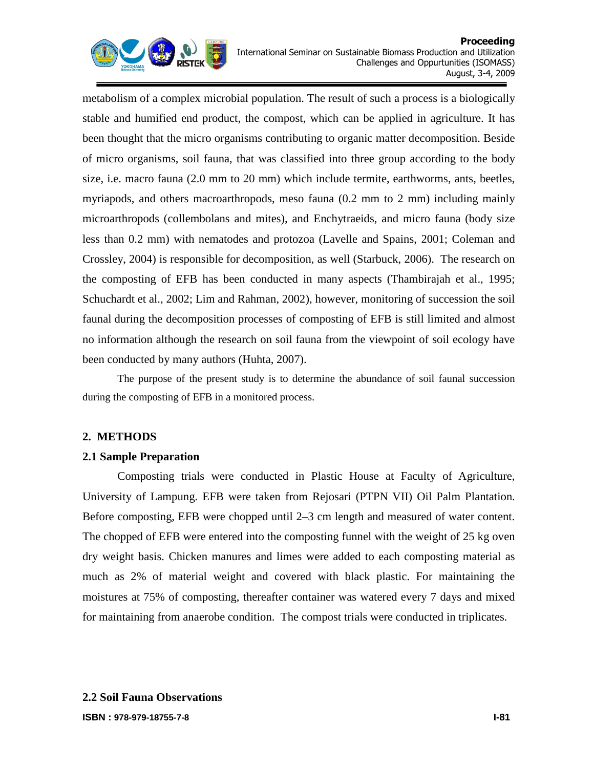

metabolism of a complex microbial population. The result of such a process is a biologically stable and humified end product, the compost, which can be applied in agriculture. It has been thought that the micro organisms contributing to organic matter decomposition. Beside of micro organisms, soil fauna, that was classified into three group according to the body size, i.e. macro fauna (2.0 mm to 20 mm) which include termite, earthworms, ants, beetles, myriapods, and others macroarthropods, meso fauna (0.2 mm to 2 mm) including mainly microarthropods (collembolans and mites), and Enchytraeids, and micro fauna (body size less than 0.2 mm) with nematodes and protozoa (Lavelle and Spains, 2001; Coleman and Crossley, 2004) is responsible for decomposition, as well (Starbuck, 2006). The research on the composting of EFB has been conducted in many aspects (Thambirajah et al., 1995; Schuchardt et al., 2002; Lim and Rahman, 2002), however, monitoring of succession the soil faunal during the decomposition processes of composting of EFB is still limited and almost no information although the research on soil fauna from the viewpoint of soil ecology have been conducted by many authors (Huhta, 2007).

The purpose of the present study is to determine the abundance of soil faunal succession during the composting of EFB in a monitored process.

# **2. METHODS**

# **2.1 Sample Preparation**

Composting trials were conducted in Plastic House at Faculty of Agriculture, University of Lampung. EFB were taken from Rejosari (PTPN VII) Oil Palm Plantation. Before composting, EFB were chopped until 2–3 cm length and measured of water content. The chopped of EFB were entered into the composting funnel with the weight of 25 kg oven dry weight basis. Chicken manures and limes were added to each composting material as much as 2% of material weight and covered with black plastic. For maintaining the moistures at 75% of composting, thereafter container was watered every 7 days and mixed for maintaining from anaerobe condition. The compost trials were conducted in triplicates.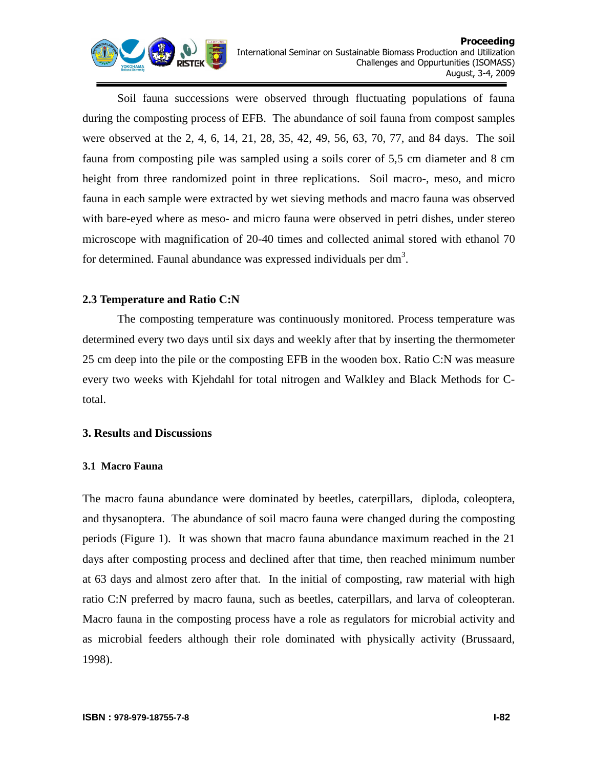

Soil fauna successions were observed through fluctuating populations of fauna during the composting process of EFB. The abundance of soil fauna from compost samples were observed at the 2, 4, 6, 14, 21, 28, 35, 42, 49, 56, 63, 70, 77, and 84 days. The soil fauna from composting pile was sampled using a soils corer of 5,5 cm diameter and 8 cm height from three randomized point in three replications. Soil macro-, meso, and micro fauna in each sample were extracted by wet sieving methods and macro fauna was observed with bare-eyed where as meso- and micro fauna were observed in petri dishes, under stereo microscope with magnification of 20-40 times and collected animal stored with ethanol 70 for determined. Faunal abundance was expressed individuals per dm<sup>3</sup>.

# **2.3 Temperature and Ratio C:N**

The composting temperature was continuously monitored. Process temperature was determined every two days until six days and weekly after that by inserting the thermometer 25 cm deep into the pile or the composting EFB in the wooden box. Ratio C:N was measure every two weeks with Kjehdahl for total nitrogen and Walkley and Black Methods for Ctotal.

# **3. Results and Discussions**

# **3.1 Macro Fauna**

The macro fauna abundance were dominated by beetles, caterpillars, diploda, coleoptera, and thysanoptera. The abundance of soil macro fauna were changed during the composting periods (Figure 1). It was shown that macro fauna abundance maximum reached in the 21 days after composting process and declined after that time, then reached minimum number at 63 days and almost zero after that. In the initial of composting, raw material with high ratio C:N preferred by macro fauna, such as beetles, caterpillars, and larva of coleopteran. Macro fauna in the composting process have a role as regulators for microbial activity and as microbial feeders although their role dominated with physically activity (Brussaard, 1998).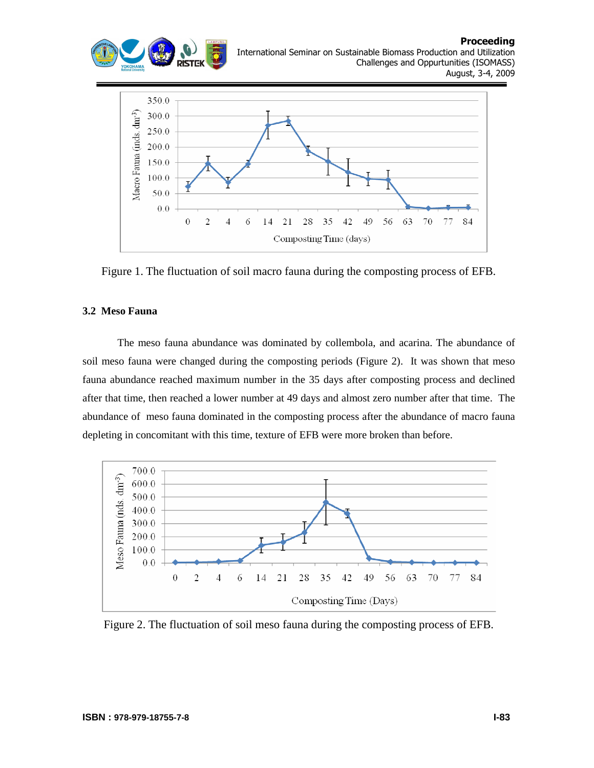



Figure 1. The fluctuation of soil macro fauna during the composting process of EFB.

#### **3.2 Meso Fauna**

The meso fauna abundance was dominated by collembola, and acarina. The abundance of soil meso fauna were changed during the composting periods (Figure 2). It was shown that meso fauna abundance reached maximum number in the 35 days after composting process and declined after that time, then reached a lower number at 49 days and almost zero number after that time. The abundance of meso fauna dominated in the composting process after the abundance of macro fauna depleting in concomitant with this time, texture of EFB were more broken than before.



Figure 2. The fluctuation of soil meso fauna during the composting process of EFB.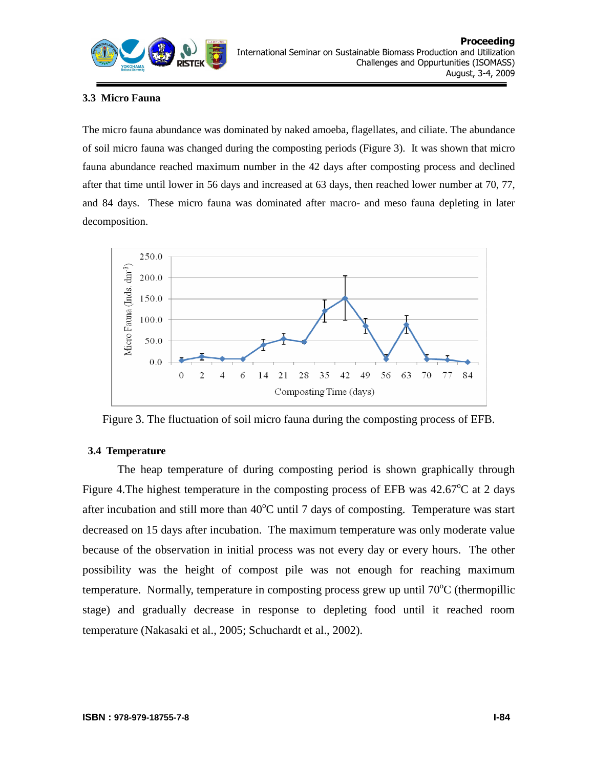

# **3.3 Micro Fauna**

The micro fauna abundance was dominated by naked amoeba, flagellates, and ciliate. The abundance of soil micro fauna was changed during the composting periods (Figure 3). It was shown that micro fauna abundance reached maximum number in the 42 days after composting process and declined after that time until lower in 56 days and increased at 63 days, then reached lower number at 70, 77, and 84 days. These micro fauna was dominated after macro- and meso fauna depleting in later decomposition.



Figure 3. The fluctuation of soil micro fauna during the composting process of EFB.

# **3.4 Temperature**

The heap temperature of during composting period is shown graphically through Figure 4. The highest temperature in the composting process of EFB was  $42.67^{\circ}$ C at 2 days after incubation and still more than  $40^{\circ}$ C until 7 days of composting. Temperature was start decreased on 15 days after incubation. The maximum temperature was only moderate value because of the observation in initial process was not every day or every hours. The other possibility was the height of compost pile was not enough for reaching maximum temperature. Normally, temperature in composting process grew up until  $70^{\circ}$ C (thermopillic stage) and gradually decrease in response to depleting food until it reached room temperature (Nakasaki et al., 2005; Schuchardt et al., 2002).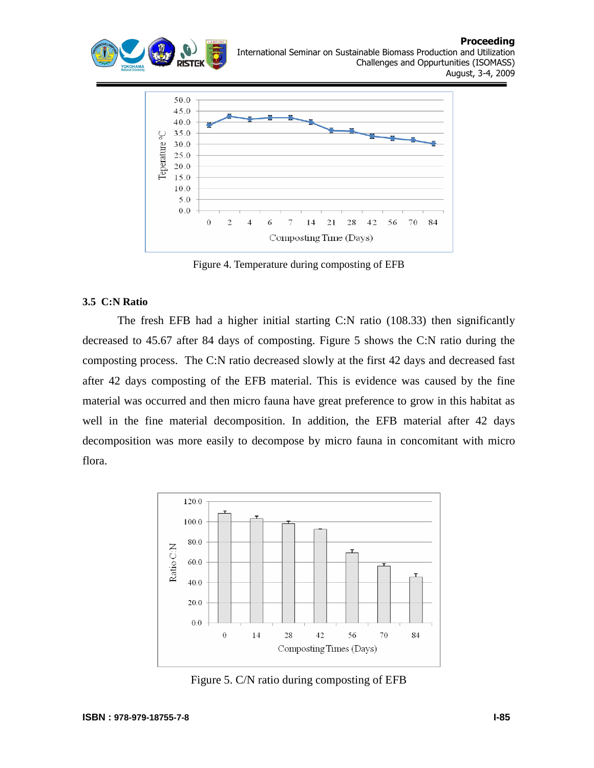



Figure 4. Temperature during composting of EFB

#### **3.5 C:N Ratio**

The fresh EFB had a higher initial starting C:N ratio (108.33) then significantly decreased to 45.67 after 84 days of composting. Figure 5 shows the C:N ratio during the composting process. The C:N ratio decreased slowly at the first 42 days and decreased fast after 42 days composting of the EFB material. This is evidence was caused by the fine material was occurred and then micro fauna have great preference to grow in this habitat as well in the fine material decomposition. In addition, the EFB material after 42 days decomposition was more easily to decompose by micro fauna in concomitant with micro flora.



Figure 5. C/N ratio during composting of EFB

Proceeding

August, 3-4, 2009